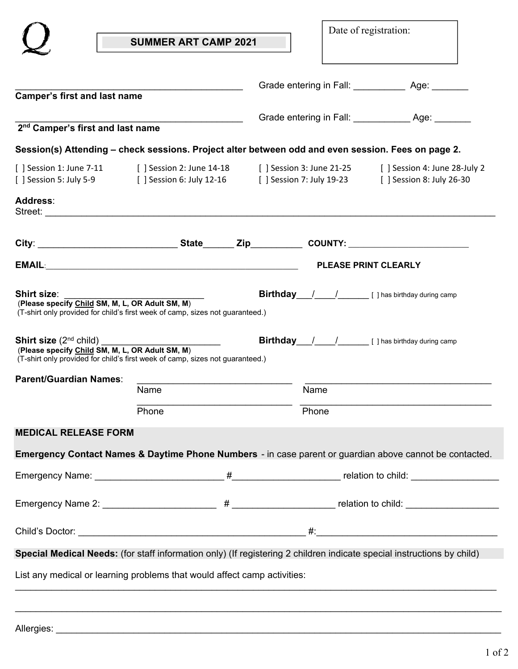|                                                                                                                                                                                                                                                                                                                                                                                                                                                      |                                                                                                                                                               |  |       | Date of registration:                              |  |
|------------------------------------------------------------------------------------------------------------------------------------------------------------------------------------------------------------------------------------------------------------------------------------------------------------------------------------------------------------------------------------------------------------------------------------------------------|---------------------------------------------------------------------------------------------------------------------------------------------------------------|--|-------|----------------------------------------------------|--|
|                                                                                                                                                                                                                                                                                                                                                                                                                                                      | <b>SUMMER ART CAMP 2021</b>                                                                                                                                   |  |       |                                                    |  |
|                                                                                                                                                                                                                                                                                                                                                                                                                                                      |                                                                                                                                                               |  |       |                                                    |  |
| <b>Camper's first and last name</b>                                                                                                                                                                                                                                                                                                                                                                                                                  |                                                                                                                                                               |  |       |                                                    |  |
| 2 <sup>nd</sup> Camper's first and last name                                                                                                                                                                                                                                                                                                                                                                                                         |                                                                                                                                                               |  |       |                                                    |  |
|                                                                                                                                                                                                                                                                                                                                                                                                                                                      | Session(s) Attending – check sessions. Project alter between odd and even session. Fees on page 2.                                                            |  |       |                                                    |  |
| [ ] Session 5: July 5-9                                                                                                                                                                                                                                                                                                                                                                                                                              | [ ] Session 1: June 7-11 [ ] Session 2: June 14-18 [ ] Session 3: June 21-25<br>[ ] Session 6: July 12-16 [ ] Session 7: July 19-23 [ ] Session 8: July 26-30 |  |       | [ ] Session 4: June 28-July 2                      |  |
| Address:                                                                                                                                                                                                                                                                                                                                                                                                                                             |                                                                                                                                                               |  |       |                                                    |  |
|                                                                                                                                                                                                                                                                                                                                                                                                                                                      |                                                                                                                                                               |  |       |                                                    |  |
|                                                                                                                                                                                                                                                                                                                                                                                                                                                      |                                                                                                                                                               |  |       |                                                    |  |
|                                                                                                                                                                                                                                                                                                                                                                                                                                                      |                                                                                                                                                               |  |       |                                                    |  |
|                                                                                                                                                                                                                                                                                                                                                                                                                                                      | (T-shirt only provided for child's first week of camp, sizes not guaranteed.)                                                                                 |  |       | <b>Birthday</b> / / [] has birthday during camp    |  |
|                                                                                                                                                                                                                                                                                                                                                                                                                                                      | (T-shirt only provided for child's first week of camp, sizes not guaranteed.)                                                                                 |  |       | <b>Birthday</b> / / / [ ] has birthday during camp |  |
|                                                                                                                                                                                                                                                                                                                                                                                                                                                      |                                                                                                                                                               |  |       |                                                    |  |
|                                                                                                                                                                                                                                                                                                                                                                                                                                                      | Name                                                                                                                                                          |  | Name  |                                                    |  |
|                                                                                                                                                                                                                                                                                                                                                                                                                                                      | Phone                                                                                                                                                         |  | Phone |                                                    |  |
|                                                                                                                                                                                                                                                                                                                                                                                                                                                      |                                                                                                                                                               |  |       |                                                    |  |
|                                                                                                                                                                                                                                                                                                                                                                                                                                                      | Emergency Contact Names & Daytime Phone Numbers - in case parent or guardian above cannot be contacted.                                                       |  |       |                                                    |  |
|                                                                                                                                                                                                                                                                                                                                                                                                                                                      |                                                                                                                                                               |  |       |                                                    |  |
|                                                                                                                                                                                                                                                                                                                                                                                                                                                      |                                                                                                                                                               |  |       |                                                    |  |
|                                                                                                                                                                                                                                                                                                                                                                                                                                                      |                                                                                                                                                               |  |       |                                                    |  |
| Shirt size: when the state of the state of the state of the state of the state of the state of the state of the state of the state of the state of the state of the state of the state of the state of the state of the state<br>(Please specify Child SM, M, L, OR Adult SM, M)<br>Shirt size (2 <sup>nd</sup> child) __________<br>(Please specify Child SM, M, L, OR Adult SM, M)<br><b>Parent/Guardian Names:</b><br><b>MEDICAL RELEASE FORM</b> | Special Medical Needs: (for staff information only) (If registering 2 children indicate special instructions by child)                                        |  |       |                                                    |  |
|                                                                                                                                                                                                                                                                                                                                                                                                                                                      | List any medical or learning problems that would affect camp activities:                                                                                      |  |       |                                                    |  |

| Allergies: |
|------------|
|------------|